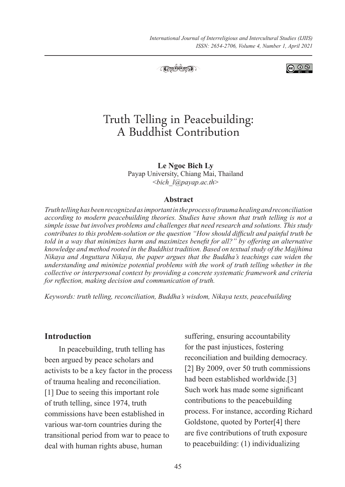*International Journal of Interreligious and Intercultural Studies (IJIIS) ISSN: 2654-2706, Volume 4, Number 1, April 2021*



**ெ** ெ

# Truth Telling in Peacebuilding: A Buddhist Contribution

**Le Ngoc Bich Ly** Payap University, Chiang Mai, Thailand <*bich\_l@payap.ac.th*>

#### **Abstract**

*Truth telling has been recognized as important in the process of trauma healing and reconciliation according to modern peacebuilding theories. Studies have shown that truth telling is not a simple issue but involves problems and challenges that need research and solutions. This study contributes to this problem-solution or the question "How should difficult and painful truth be told in a way that minimizes harm and maximizes benefit for all?" by offering an alternative knowledge and method rooted in the Buddhist tradition. Based on textual study of the Majjhima Nikaya and Anguttara Nikaya, the paper argues that the Buddha's teachings can widen the understanding and minimize potential problems with the work of truth telling whether in the collective or interpersonal context by providing a concrete systematic framework and criteria for reflection, making decision and communication of truth.*

*Keywords: truth telling, reconciliation, Buddha's wisdom, Nikaya texts, peacebuilding*

### **Introduction**

In peacebuilding, truth telling has been argued by peace scholars and activists to be a key factor in the process of trauma healing and reconciliation. [1] Due to seeing this important role of truth telling, since 1974, truth commissions have been established in various war-torn countries during the transitional period from war to peace to deal with human rights abuse, human

suffering, ensuring accountability for the past injustices, fostering reconciliation and building democracy. [2] By 2009, over 50 truth commissions had been established worldwide.[3] Such work has made some significant contributions to the peacebuilding process. For instance, according Richard Goldstone, quoted by Porter[4] there are five contributions of truth exposure to peacebuilding: (1) individualizing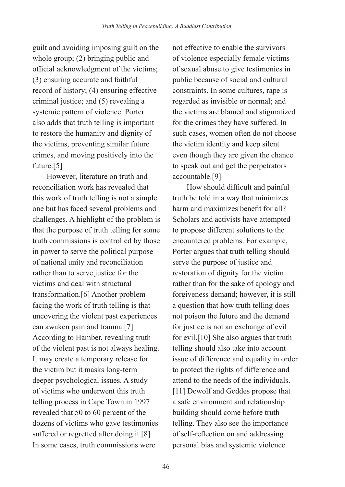guilt and avoiding imposing guilt on the whole group; (2) bringing public and official acknowledgment of the victims; (3) ensuring accurate and faithful record of history; (4) ensuring effective criminal justice; and (5) revealing a systemic pattern of violence. Porter also adds that truth telling is important to restore the humanity and dignity of the victims, preventing similar future crimes, and moving positively into the future.[5]

However, literature on truth and reconciliation work has revealed that this work of truth telling is not a simple one but has faced several problems and challenges. A highlight of the problem is that the purpose of truth telling for some truth commissions is controlled by those in power to serve the political purpose of national unity and reconciliation rather than to serve justice for the victims and deal with structural transformation.[6] Another problem facing the work of truth telling is that uncovering the violent past experiences can awaken pain and trauma.[7] According to Hamber, revealing truth of the violent past is not always healing. It may create a temporary release for the victim but it masks long-term deeper psychological issues. A study of victims who underwent this truth telling process in Cape Town in 1997 revealed that 50 to 60 percent of the dozens of victims who gave testimonies suffered or regretted after doing it.[8] In some cases, truth commissions were

not effective to enable the survivors of violence especially female victims of sexual abuse to give testimonies in public because of social and cultural constraints. In some cultures, rape is regarded as invisible or normal; and the victims are blamed and stigmatized for the crimes they have suffered. In such cases, women often do not choose the victim identity and keep silent even though they are given the chance to speak out and get the perpetrators accountable.[9]

How should difficult and painful truth be told in a way that minimizes harm and maximizes benefit for all? Scholars and activists have attempted to propose different solutions to the encountered problems. For example, Porter argues that truth telling should serve the purpose of justice and restoration of dignity for the victim rather than for the sake of apology and forgiveness demand; however, it is still a question that how truth telling does not poison the future and the demand for justice is not an exchange of evil for evil.[10] She also argues that truth telling should also take into account issue of difference and equality in order to protect the rights of difference and attend to the needs of the individuals. [11] Dewolf and Geddes propose that a safe environment and relationship building should come before truth telling. They also see the importance of self-reflection on and addressing personal bias and systemic violence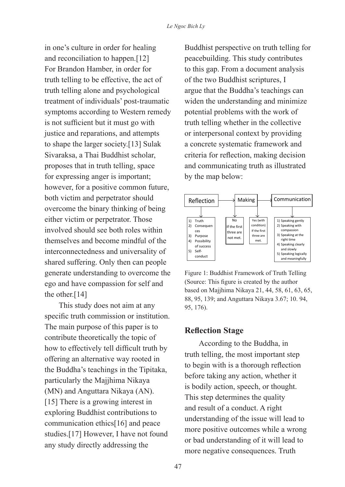in one's culture in order for healing and reconciliation to happen.[12] For Brandon Hamber, in order for truth telling to be effective, the act of truth telling alone and psychological treatment of individuals' post-traumatic symptoms according to Western remedy is not sufficient but it must go with justice and reparations, and attempts to shape the larger society.[13] Sulak Sivaraksa, a Thai Buddhist scholar, proposes that in truth telling, space for expressing anger is important; however, for a positive common future, both victim and perpetrator should overcome the binary thinking of being either victim or perpetrator. Those involved should see both roles within themselves and become mindful of the interconnectedness and universality of shared suffering. Only then can people generate understanding to overcome the ego and have compassion for self and the other.<sup>[14]</sup>

This study does not aim at any specific truth commission or institution. The main purpose of this paper is to contribute theoretically the topic of how to effectively tell difficult truth by offering an alternative way rooted in the Buddha's teachings in the Tipitaka, particularly the Majjhima Nikaya (MN) and Anguttara Nikaya (AN). [15] There is a growing interest in exploring Buddhist contributions to communication ethics[16] and peace studies.[17] However, I have not found any study directly addressing the

Buddhist perspective on truth telling for peacebuilding. This study contributes to this gap. From a document analysis of the two Buddhist scriptures, I argue that the Buddha's teachings can widen the understanding and minimize potential problems with the work of truth telling whether in the collective or interpersonal context by providing a concrete systematic framework and criteria for reflection, making decision and communicating truth as illustrated by the map below:



Figure 1: Buddhist Framework of Truth Telling (Source: This figure is created by the author based on Majjhima Nikaya 21, 44, 58, 61, 63, 65, 88, 95, 139; and Anguttara Nikaya 3.67; 10. 94, 95, 176).

## **Reflection Stage**

According to the Buddha, in truth telling, the most important step to begin with is a thorough reflection before taking any action, whether it is bodily action, speech, or thought. This step determines the quality and result of a conduct. A right understanding of the issue will lead to more positive outcomes while a wrong or bad understanding of it will lead to more negative consequences. Truth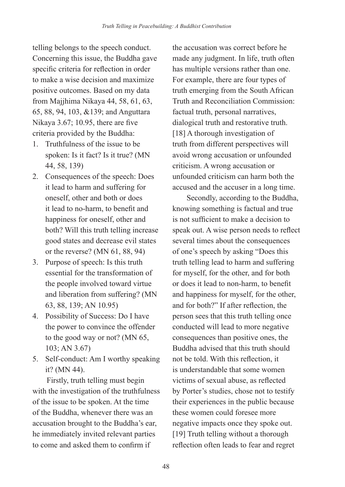telling belongs to the speech conduct. Concerning this issue, the Buddha gave specific criteria for reflection in order to make a wise decision and maximize positive outcomes. Based on my data from Majjhima Nikaya 44, 58, 61, 63, 65, 88, 94, 103, &139; and Anguttara Nikaya 3.67; 10.95, there are five criteria provided by the Buddha:

- 1. Truthfulness of the issue to be spoken: Is it fact? Is it true? (MN 44, 58, 139)
- 2. Consequences of the speech: Does it lead to harm and suffering for oneself, other and both or does it lead to no-harm, to benefit and happiness for oneself, other and both? Will this truth telling increase good states and decrease evil states or the reverse? (MN 61, 88, 94)
- 3. Purpose of speech: Is this truth essential for the transformation of the people involved toward virtue and liberation from suffering? (MN 63, 88, 139; AN 10.95)
- 4. Possibility of Success: Do I have the power to convince the offender to the good way or not? (MN 65, 103; AN 3.67)
- 5. Self-conduct: Am I worthy speaking it? (MN 44).

Firstly, truth telling must begin with the investigation of the truthfulness of the issue to be spoken. At the time of the Buddha, whenever there was an accusation brought to the Buddha's ear, he immediately invited relevant parties to come and asked them to confirm if

the accusation was correct before he made any judgment. In life, truth often has multiple versions rather than one. For example, there are four types of truth emerging from the South African Truth and Reconciliation Commission: factual truth, personal narratives, dialogical truth and restorative truth. [18] A thorough investigation of truth from different perspectives will avoid wrong accusation or unfounded criticism. A wrong accusation or unfounded criticism can harm both the accused and the accuser in a long time.

Secondly, according to the Buddha, knowing something is factual and true is not sufficient to make a decision to speak out. A wise person needs to reflect several times about the consequences of one's speech by asking "Does this truth telling lead to harm and suffering for myself, for the other, and for both or does it lead to non-harm, to benefit and happiness for myself, for the other, and for both?" If after reflection, the person sees that this truth telling once conducted will lead to more negative consequences than positive ones, the Buddha advised that this truth should not be told. With this reflection, it is understandable that some women victims of sexual abuse, as reflected by Porter's studies, chose not to testify their experiences in the public because these women could foresee more negative impacts once they spoke out. [19] Truth telling without a thorough reflection often leads to fear and regret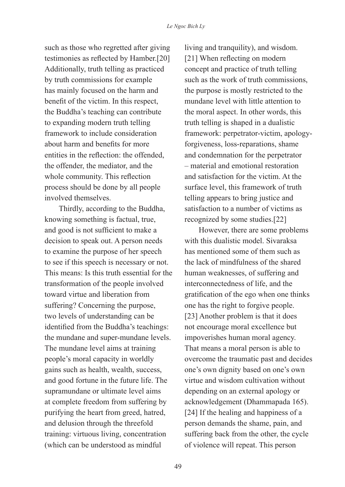such as those who regretted after giving testimonies as reflected by Hamber.[20] Additionally, truth telling as practiced by truth commissions for example has mainly focused on the harm and benefit of the victim. In this respect, the Buddha's teaching can contribute to expanding modern truth telling framework to include consideration about harm and benefits for more entities in the reflection: the offended, the offender, the mediator, and the whole community. This reflection process should be done by all people involved themselves.

Thirdly, according to the Buddha, knowing something is factual, true, and good is not sufficient to make a decision to speak out. A person needs to examine the purpose of her speech to see if this speech is necessary or not. This means: Is this truth essential for the transformation of the people involved toward virtue and liberation from suffering? Concerning the purpose, two levels of understanding can be identified from the Buddha's teachings: the mundane and super-mundane levels. The mundane level aims at training people's moral capacity in worldly gains such as health, wealth, success, and good fortune in the future life. The supramundane or ultimate level aims at complete freedom from suffering by purifying the heart from greed, hatred, and delusion through the threefold training: virtuous living, concentration (which can be understood as mindful

living and tranquility), and wisdom. [21] When reflecting on modern concept and practice of truth telling such as the work of truth commissions, the purpose is mostly restricted to the mundane level with little attention to the moral aspect. In other words, this truth telling is shaped in a dualistic framework: perpetrator-victim, apologyforgiveness, loss-reparations, shame and condemnation for the perpetrator – material and emotional restoration and satisfaction for the victim. At the surface level, this framework of truth telling appears to bring justice and satisfaction to a number of victims as recognized by some studies.[22]

However, there are some problems with this dualistic model. Sivaraksa has mentioned some of them such as the lack of mindfulness of the shared human weaknesses, of suffering and interconnectedness of life, and the gratification of the ego when one thinks one has the right to forgive people. [23] Another problem is that it does not encourage moral excellence but impoverishes human moral agency. That means a moral person is able to overcome the traumatic past and decides one's own dignity based on one's own virtue and wisdom cultivation without depending on an external apology or acknowledgement (Dhammapada 165). [24] If the healing and happiness of a person demands the shame, pain, and suffering back from the other, the cycle of violence will repeat. This person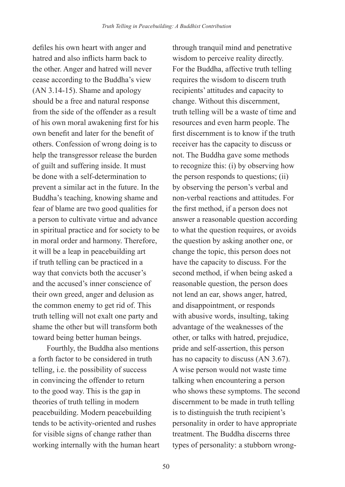defiles his own heart with anger and hatred and also inflicts harm back to the other. Anger and hatred will never cease according to the Buddha's view (AN 3.14-15). Shame and apology should be a free and natural response from the side of the offender as a result of his own moral awakening first for his own benefit and later for the benefit of others. Confession of wrong doing is to help the transgressor release the burden of guilt and suffering inside. It must be done with a self-determination to prevent a similar act in the future. In the Buddha's teaching, knowing shame and fear of blame are two good qualities for a person to cultivate virtue and advance in spiritual practice and for society to be in moral order and harmony. Therefore, it will be a leap in peacebuilding art if truth telling can be practiced in a way that convicts both the accuser's and the accused's inner conscience of their own greed, anger and delusion as the common enemy to get rid of. This truth telling will not exalt one party and shame the other but will transform both toward being better human beings.

Fourthly, the Buddha also mentions a forth factor to be considered in truth telling, i.e. the possibility of success in convincing the offender to return to the good way. This is the gap in theories of truth telling in modern peacebuilding. Modern peacebuilding tends to be activity-oriented and rushes for visible signs of change rather than working internally with the human heart through tranquil mind and penetrative wisdom to perceive reality directly. For the Buddha, affective truth telling requires the wisdom to discern truth recipients' attitudes and capacity to change. Without this discernment, truth telling will be a waste of time and resources and even harm people. The first discernment is to know if the truth receiver has the capacity to discuss or not. The Buddha gave some methods to recognize this: (i) by observing how the person responds to questions; (ii) by observing the person's verbal and non-verbal reactions and attitudes. For the first method, if a person does not answer a reasonable question according to what the question requires, or avoids the question by asking another one, or change the topic, this person does not have the capacity to discuss. For the second method, if when being asked a reasonable question, the person does not lend an ear, shows anger, hatred, and disappointment, or responds with abusive words, insulting, taking advantage of the weaknesses of the other, or talks with hatred, prejudice, pride and self-assertion, this person has no capacity to discuss (AN 3.67). A wise person would not waste time talking when encountering a person who shows these symptoms. The second discernment to be made in truth telling is to distinguish the truth recipient's personality in order to have appropriate treatment. The Buddha discerns three types of personality: a stubborn wrong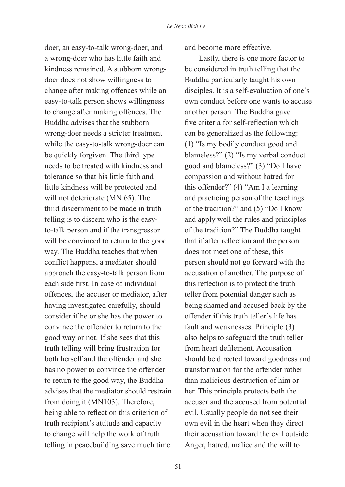doer, an easy-to-talk wrong-doer, and a wrong-doer who has little faith and kindness remained. A stubborn wrongdoer does not show willingness to change after making offences while an easy-to-talk person shows willingness to change after making offences. The Buddha advises that the stubborn wrong-doer needs a stricter treatment while the easy-to-talk wrong-doer can be quickly forgiven. The third type needs to be treated with kindness and tolerance so that his little faith and little kindness will be protected and will not deteriorate (MN 65). The third discernment to be made in truth telling is to discern who is the easyto-talk person and if the transgressor will be convinced to return to the good way. The Buddha teaches that when conflict happens, a mediator should approach the easy-to-talk person from each side first. In case of individual offences, the accuser or mediator, after having investigated carefully, should consider if he or she has the power to convince the offender to return to the good way or not. If she sees that this truth telling will bring frustration for both herself and the offender and she has no power to convince the offender to return to the good way, the Buddha advises that the mediator should restrain from doing it (MN103). Therefore, being able to reflect on this criterion of truth recipient's attitude and capacity to change will help the work of truth telling in peacebuilding save much time

and become more effective.

Lastly, there is one more factor to be considered in truth telling that the Buddha particularly taught his own disciples. It is a self-evaluation of one's own conduct before one wants to accuse another person. The Buddha gave five criteria for self-reflection which can be generalized as the following: (1) "Is my bodily conduct good and blameless?" (2) "Is my verbal conduct good and blameless?" (3) "Do I have compassion and without hatred for this offender?" (4) "Am I a learning and practicing person of the teachings of the tradition?" and (5) "Do I know and apply well the rules and principles of the tradition?" The Buddha taught that if after reflection and the person does not meet one of these, this person should not go forward with the accusation of another. The purpose of this reflection is to protect the truth teller from potential danger such as being shamed and accused back by the offender if this truth teller's life has fault and weaknesses. Principle (3) also helps to safeguard the truth teller from heart defilement. Accusation should be directed toward goodness and transformation for the offender rather than malicious destruction of him or her. This principle protects both the accuser and the accused from potential evil. Usually people do not see their own evil in the heart when they direct their accusation toward the evil outside. Anger, hatred, malice and the will to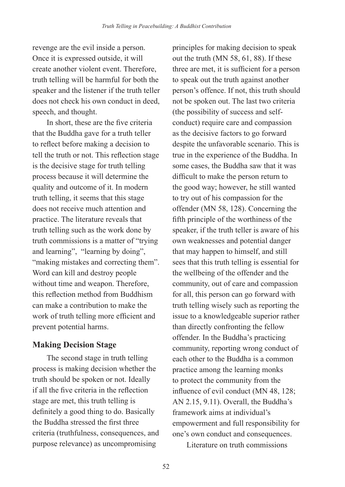revenge are the evil inside a person. Once it is expressed outside, it will create another violent event. Therefore, truth telling will be harmful for both the speaker and the listener if the truth teller does not check his own conduct in deed, speech, and thought.

In short, these are the five criteria that the Buddha gave for a truth teller to reflect before making a decision to tell the truth or not. This reflection stage is the decisive stage for truth telling process because it will determine the quality and outcome of it. In modern truth telling, it seems that this stage does not receive much attention and practice. The literature reveals that truth telling such as the work done by truth commissions is a matter of "trying and learning", "learning by doing", "making mistakes and correcting them". Word can kill and destroy people without time and weapon. Therefore, this reflection method from Buddhism can make a contribution to make the work of truth telling more efficient and prevent potential harms.

# **Making Decision Stage**

The second stage in truth telling process is making decision whether the truth should be spoken or not. Ideally if all the five criteria in the reflection stage are met, this truth telling is definitely a good thing to do. Basically the Buddha stressed the first three criteria (truthfulness, consequences, and purpose relevance) as uncompromising

principles for making decision to speak out the truth (MN 58, 61, 88). If these three are met, it is sufficient for a person to speak out the truth against another person's offence. If not, this truth should not be spoken out. The last two criteria (the possibility of success and selfconduct) require care and compassion as the decisive factors to go forward despite the unfavorable scenario. This is true in the experience of the Buddha. In some cases, the Buddha saw that it was difficult to make the person return to the good way; however, he still wanted to try out of his compassion for the offender (MN 58, 128). Concerning the fifth principle of the worthiness of the speaker, if the truth teller is aware of his own weaknesses and potential danger that may happen to himself, and still sees that this truth telling is essential for the wellbeing of the offender and the community, out of care and compassion for all, this person can go forward with truth telling wisely such as reporting the issue to a knowledgeable superior rather than directly confronting the fellow offender. In the Buddha's practicing community, reporting wrong conduct of each other to the Buddha is a common practice among the learning monks to protect the community from the influence of evil conduct (MN 48, 128; AN 2.15, 9.11). Overall, the Buddha's framework aims at individual's empowerment and full responsibility for one's own conduct and consequences.

Literature on truth commissions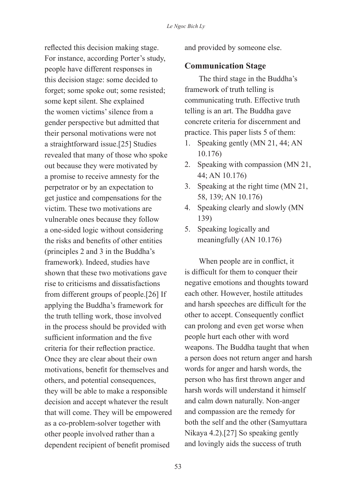reflected this decision making stage. For instance, according Porter's study, people have different responses in this decision stage: some decided to forget; some spoke out; some resisted; some kept silent. She explained the women victims' silence from a gender perspective but admitted that their personal motivations were not a straightforward issue.[25] Studies revealed that many of those who spoke out because they were motivated by a promise to receive amnesty for the perpetrator or by an expectation to get justice and compensations for the victim. These two motivations are vulnerable ones because they follow a one-sided logic without considering the risks and benefits of other entities (principles 2 and 3 in the Buddha's framework). Indeed, studies have shown that these two motivations gave rise to criticisms and dissatisfactions from different groups of people.[26] If applying the Buddha's framework for the truth telling work, those involved in the process should be provided with sufficient information and the five criteria for their reflection practice. Once they are clear about their own motivations, benefit for themselves and others, and potential consequences, they will be able to make a responsible decision and accept whatever the result that will come. They will be empowered as a co-problem-solver together with other people involved rather than a dependent recipient of benefit promised

and provided by someone else.

# **Communication Stage**

The third stage in the Buddha's framework of truth telling is communicating truth. Effective truth telling is an art. The Buddha gave concrete criteria for discernment and practice. This paper lists 5 of them:

- 1. Speaking gently (MN 21, 44; AN 10.176)
- 2. Speaking with compassion (MN 21, 44; AN 10.176)
- 3. Speaking at the right time (MN 21, 58, 139; AN 10.176)
- 4. Speaking clearly and slowly (MN 139)
- 5. Speaking logically and meaningfully (AN 10.176)

When people are in conflict, it is difficult for them to conquer their negative emotions and thoughts toward each other. However, hostile attitudes and harsh speeches are difficult for the other to accept. Consequently conflict can prolong and even get worse when people hurt each other with word weapons. The Buddha taught that when a person does not return anger and harsh words for anger and harsh words, the person who has first thrown anger and harsh words will understand it himself and calm down naturally. Non-anger and compassion are the remedy for both the self and the other (Samyuttara Nikaya 4.2).[27] So speaking gently and lovingly aids the success of truth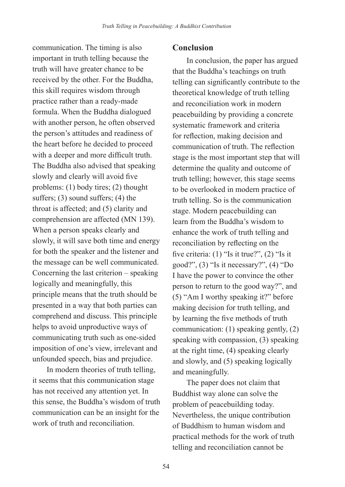communication. The timing is also important in truth telling because the truth will have greater chance to be received by the other. For the Buddha, this skill requires wisdom through practice rather than a ready-made formula. When the Buddha dialogued with another person, he often observed the person's attitudes and readiness of the heart before he decided to proceed with a deeper and more difficult truth. The Buddha also advised that speaking slowly and clearly will avoid five problems: (1) body tires; (2) thought suffers; (3) sound suffers; (4) the throat is affected; and (5) clarity and comprehension are affected (MN 139). When a person speaks clearly and slowly, it will save both time and energy for both the speaker and the listener and the message can be well communicated. Concerning the last criterion – speaking logically and meaningfully, this principle means that the truth should be presented in a way that both parties can comprehend and discuss. This principle helps to avoid unproductive ways of communicating truth such as one-sided imposition of one's view, irrelevant and unfounded speech, bias and prejudice.

In modern theories of truth telling, it seems that this communication stage has not received any attention yet. In this sense, the Buddha's wisdom of truth communication can be an insight for the work of truth and reconciliation.

### **Conclusion**

In conclusion, the paper has argued that the Buddha's teachings on truth telling can significantly contribute to the theoretical knowledge of truth telling and reconciliation work in modern peacebuilding by providing a concrete systematic framework and criteria for reflection, making decision and communication of truth. The reflection stage is the most important step that will determine the quality and outcome of truth telling; however, this stage seems to be overlooked in modern practice of truth telling. So is the communication stage. Modern peacebuilding can learn from the Buddha's wisdom to enhance the work of truth telling and reconciliation by reflecting on the five criteria: (1) "Is it true?", (2) "Is it good?", (3) "Is it necessary?", (4) "Do I have the power to convince the other person to return to the good way?", and (5) "Am I worthy speaking it?" before making decision for truth telling, and by learning the five methods of truth communication: (1) speaking gently, (2) speaking with compassion, (3) speaking at the right time, (4) speaking clearly and slowly, and (5) speaking logically and meaningfully.

The paper does not claim that Buddhist way alone can solve the problem of peacebuilding today. Nevertheless, the unique contribution of Buddhism to human wisdom and practical methods for the work of truth telling and reconciliation cannot be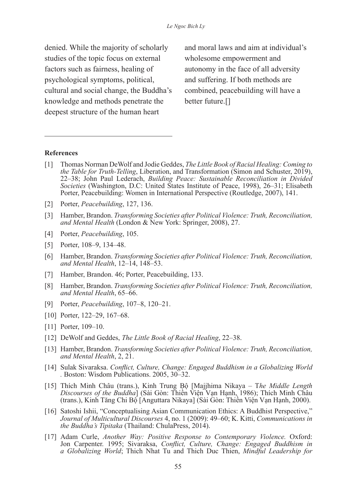denied. While the majority of scholarly studies of the topic focus on external factors such as fairness, healing of psychological symptoms, political, cultural and social change, the Buddha's knowledge and methods penetrate the deepest structure of the human heart

and moral laws and aim at individual's wholesome empowerment and autonomy in the face of all adversity and suffering. If both methods are combined, peacebuilding will have a better future.[]

#### **References**

- [1] Thomas Norman DeWolf and Jodie Geddes, *The Little Book of Racial Healing: Coming to the Table for Truth-Telling*, Liberation, and Transformation (Simon and Schuster, 2019), 22–38; John Paul Lederach, *Building Peace: Sustainable Reconciliation in Divided Societies* (Washington, D.C: United States Institute of Peace, 1998), 26–31; Elisabeth Porter, Peacebuilding: Women in International Perspective (Routledge, 2007), 141.
- [2] Porter, *Peacebuilding*, 127, 136.
- [3] Hamber, Brandon. *Transforming Societies after Political Violence: Truth, Reconciliation, and Mental Health* (London & New York: Springer, 2008), 27.
- [4] Porter, *Peacebuilding*, 105.
- [5] Porter, 108–9, 134–48.
- [6] Hamber, Brandon. *Transforming Societies after Political Violence: Truth, Reconciliation, and Mental Health*, 12–14, 148–53.
- [7] Hamber, Brandon. 46; Porter, Peacebuilding, 133.
- [8] Hamber, Brandon. *Transforming Societies after Political Violence: Truth, Reconciliation, and Mental Health*, 65–66.
- [9] Porter, *Peacebuilding*, 107–8, 120–21.
- [10] Porter, 122–29, 167–68.
- [11] Porter, 109–10.
- [12] DeWolf and Geddes, *The Little Book of Racial Healing*, 22–38.
- [13] Hamber, Brandon. *Transforming Societies after Political Violence: Truth, Reconciliation, and Mental Health*, 2, 21.
- [14] Sulak Sivaraksa. *Conflict, Culture, Change: Engaged Buddhism in a Globalizing World .* Boston: Wisdom Publications. 2005, 30–32.
- [15] Thích Minh Châu (trans.), Kinh Trung Bộ [Majjhima Nikaya T*he Middle Length Discourses of the Buddha*] (Sài Gòn: Thiền Viện Vạn Hạnh, 1986); Thích Minh Châu (trans.), Kinh Tăng Chi Bộ [Anguttara Nikaya] (Sài Gòn: Thiền Viện Vạn Hạnh, 2000).
- [16] Satoshi Ishii, "Conceptualising Asian Communication Ethics: A Buddhist Perspective," *Journal of Multicultural Discourses* 4, no. 1 (2009): 49–60; K. Kitti, *Communications in the Buddha's Tipitaka* (Thailand: ChulaPress, 2014).
- [17] Adam Curle, *Another Way: Positive Response to Contemporary Violence.* Oxford: Jon Carpenter. 1995; Sivaraksa, *Conflict, Culture, Change: Engaged Buddhism in a Globalizing World*; Thich Nhat Tu and Thich Duc Thien, *Mindful Leadership for*